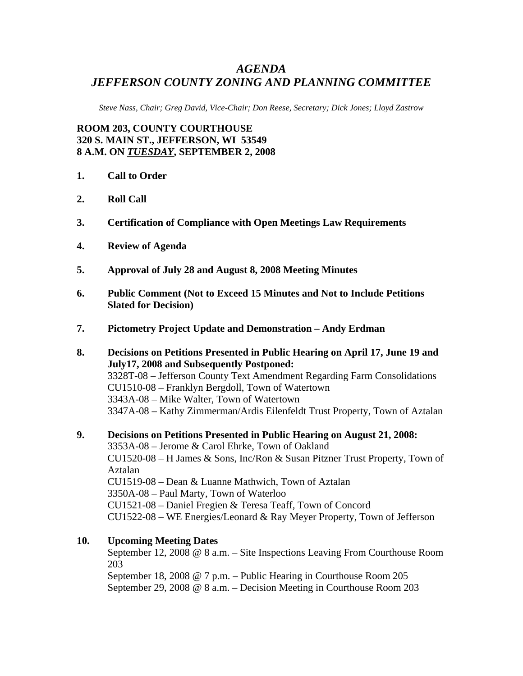## *AGENDA JEFFERSON COUNTY ZONING AND PLANNING COMMITTEE*

*Steve Nass, Chair; Greg David, Vice-Chair; Don Reese, Secretary; Dick Jones; Lloyd Zastrow* 

**ROOM 203, COUNTY COURTHOUSE 320 S. MAIN ST., JEFFERSON, WI 53549 8 A.M. ON** *TUESDAY***, SEPTEMBER 2, 2008** 

- **1. Call to Order**
- **2. Roll Call**
- **3. Certification of Compliance with Open Meetings Law Requirements**
- **4. Review of Agenda**
- **5. Approval of July 28 and August 8, 2008 Meeting Minutes**
- **6. Public Comment (Not to Exceed 15 Minutes and Not to Include Petitions Slated for Decision)**
- **7. Pictometry Project Update and Demonstration Andy Erdman**
- **8. Decisions on Petitions Presented in Public Hearing on April 17, June 19 and July17, 2008 and Subsequently Postponed:**  3328T-08 – Jefferson County Text Amendment Regarding Farm Consolidations CU1510-08 – Franklyn Bergdoll, Town of Watertown 3343A-08 – Mike Walter, Town of Watertown 3347A-08 – Kathy Zimmerman/Ardis Eilenfeldt Trust Property, Town of Aztalan
- **9. Decisions on Petitions Presented in Public Hearing on August 21, 2008:**  3353A-08 – Jerome & Carol Ehrke, Town of Oakland CU1520-08 – H James & Sons, Inc/Ron & Susan Pitzner Trust Property, Town of Aztalan CU1519-08 – Dean & Luanne Mathwich, Town of Aztalan 3350A-08 – Paul Marty, Town of Waterloo CU1521-08 – Daniel Fregien & Teresa Teaff, Town of Concord CU1522-08 – WE Energies/Leonard & Ray Meyer Property, Town of Jefferson

## **10. Upcoming Meeting Dates**

September 12, 2008 @ 8 a.m. – Site Inspections Leaving From Courthouse Room 203

September 18, 2008 @ 7 p.m. – Public Hearing in Courthouse Room 205 September 29, 2008 @ 8 a.m. – Decision Meeting in Courthouse Room 203